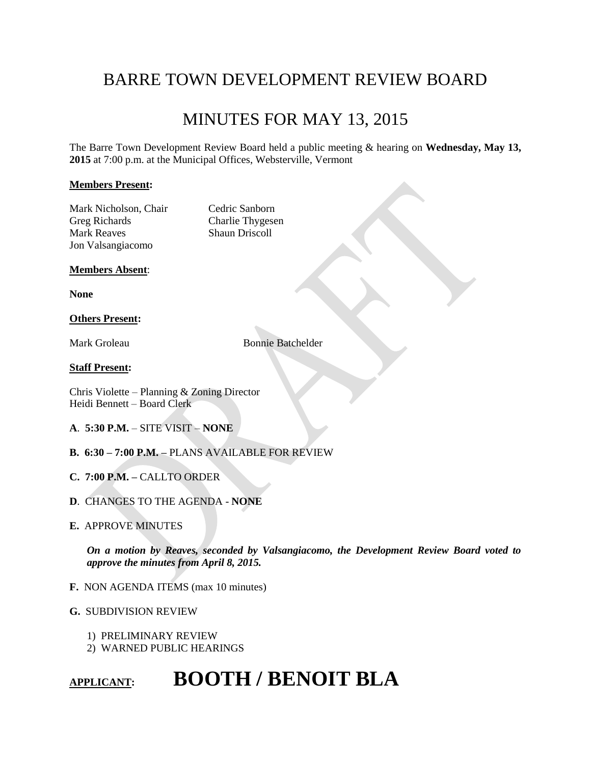# BARRE TOWN DEVELOPMENT REVIEW BOARD

# MINUTES FOR MAY 13, 2015

The Barre Town Development Review Board held a public meeting & hearing on **Wednesday, May 13, 2015** at 7:00 p.m. at the Municipal Offices, Websterville, Vermont

# **Members Present:**

Mark Nicholson, Chair Cedric Sanborn Greg Richards Charlie Thygesen Mark Reaves Shaun Driscoll Jon Valsangiacomo

#### **Members Absent**:

**None**

# **Others Present:**

Mark Groleau Bonnie Batchelder

#### **Staff Present:**

Chris Violette – Planning & Zoning Director Heidi Bennett – Board Clerk

- **A**. **5:30 P.M.** SITE VISIT **NONE**
- **B. 6:30 – 7:00 P.M. –** PLANS AVAILABLE FOR REVIEW
- **C. 7:00 P.M. –** CALLTO ORDER
- **D**. CHANGES TO THE AGENDA **NONE**
- **E.** APPROVE MINUTES

*On a motion by Reaves, seconded by Valsangiacomo, the Development Review Board voted to approve the minutes from April 8, 2015.* 

**F.** NON AGENDA ITEMS (max 10 minutes)

# **G.** SUBDIVISION REVIEW

- 1) PRELIMINARY REVIEW
- 2) WARNED PUBLIC HEARINGS

# **APPLICANT: BOOTH / BENOIT BLA**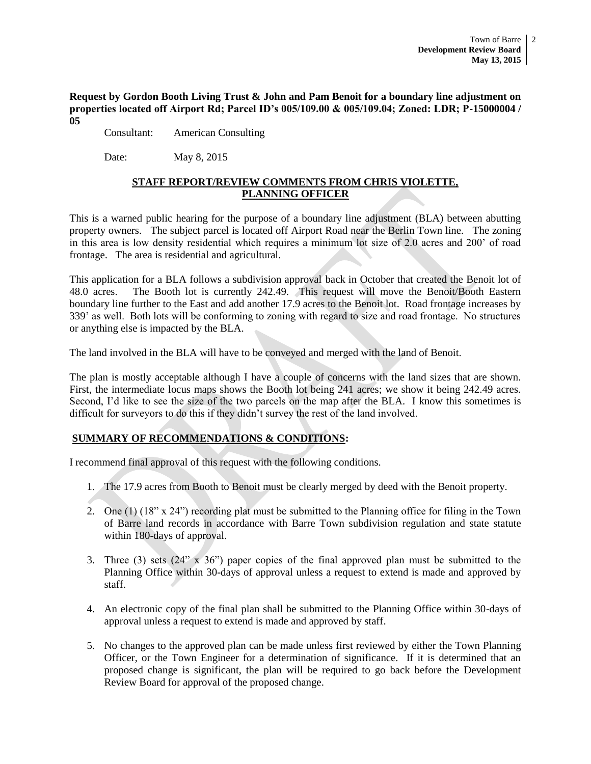**Request by Gordon Booth Living Trust & John and Pam Benoit for a boundary line adjustment on properties located off Airport Rd; Parcel ID's 005/109.00 & 005/109.04; Zoned: LDR; P-15000004 / 05** 

Consultant: American Consulting

Date: May 8, 2015

# **STAFF REPORT/REVIEW COMMENTS FROM CHRIS VIOLETTE, PLANNING OFFICER**

This is a warned public hearing for the purpose of a boundary line adjustment (BLA) between abutting property owners. The subject parcel is located off Airport Road near the Berlin Town line. The zoning in this area is low density residential which requires a minimum lot size of 2.0 acres and 200' of road frontage. The area is residential and agricultural.

This application for a BLA follows a subdivision approval back in October that created the Benoit lot of 48.0 acres. The Booth lot is currently 242.49. This request will move the Benoit/Booth Eastern boundary line further to the East and add another 17.9 acres to the Benoit lot. Road frontage increases by 339' as well. Both lots will be conforming to zoning with regard to size and road frontage. No structures or anything else is impacted by the BLA.

The land involved in the BLA will have to be conveyed and merged with the land of Benoit.

The plan is mostly acceptable although I have a couple of concerns with the land sizes that are shown. First, the intermediate locus maps shows the Booth lot being 241 acres; we show it being 242.49 acres. Second, I'd like to see the size of the two parcels on the map after the BLA. I know this sometimes is difficult for surveyors to do this if they didn't survey the rest of the land involved.

# **SUMMARY OF RECOMMENDATIONS & CONDITIONS:**

I recommend final approval of this request with the following conditions.

- 1. The 17.9 acres from Booth to Benoit must be clearly merged by deed with the Benoit property.
- 2. One (1) (18" x 24") recording plat must be submitted to the Planning office for filing in the Town of Barre land records in accordance with Barre Town subdivision regulation and state statute within 180-days of approval.
- 3. Three (3) sets (24" x 36") paper copies of the final approved plan must be submitted to the Planning Office within 30-days of approval unless a request to extend is made and approved by staff.
- 4. An electronic copy of the final plan shall be submitted to the Planning Office within 30-days of approval unless a request to extend is made and approved by staff.
- 5. No changes to the approved plan can be made unless first reviewed by either the Town Planning Officer, or the Town Engineer for a determination of significance. If it is determined that an proposed change is significant, the plan will be required to go back before the Development Review Board for approval of the proposed change.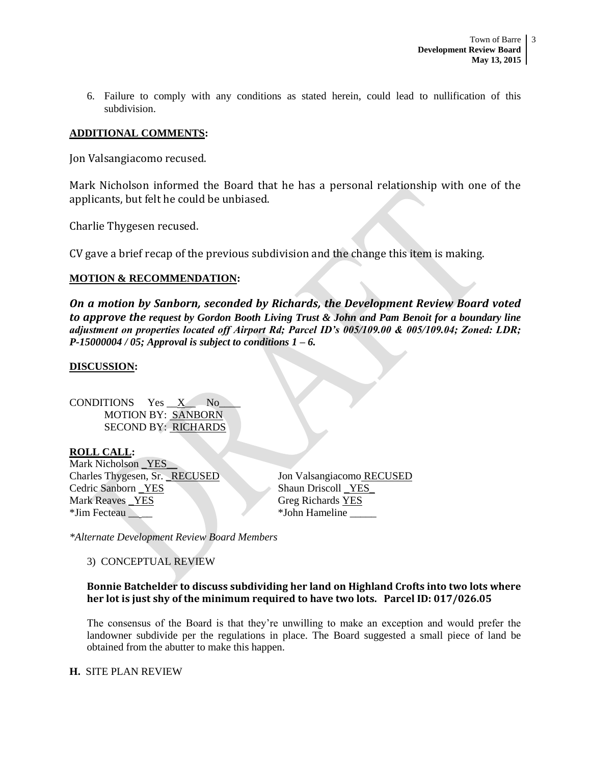6. Failure to comply with any conditions as stated herein, could lead to nullification of this subdivision.

# **ADDITIONAL COMMENTS:**

Jon Valsangiacomo recused.

Mark Nicholson informed the Board that he has a personal relationship with one of the applicants, but felt he could be unbiased.

Charlie Thygesen recused.

CV gave a brief recap of the previous subdivision and the change this item is making.

# **MOTION & RECOMMENDATION:**

*On a motion by Sanborn, seconded by Richards, the Development Review Board voted to approve the request by Gordon Booth Living Trust & John and Pam Benoit for a boundary line adjustment on properties located off Airport Rd; Parcel ID's 005/109.00 & 005/109.04; Zoned: LDR; P-15000004 / 05; Approval is subject to conditions 1 – 6.*

# **DISCUSSION:**

CONDITIONS  $Yes \_X$  No MOTION BY: SANBORN SECOND BY: RICHARDS

**ROLL CALL:** Mark Nicholson YES Charles Thygesen, Sr. \_RECUSED Jon Valsangiacomo RECUSED Cedric Sanborn <u>YES</u> Shaun Driscoll YES Mark Reaves \_YES Greg Richards YES \*Jim Fecteau \_\_ \_\_ \*John Hameline \_\_\_\_\_

*\*Alternate Development Review Board Members*

3) CONCEPTUAL REVIEW

# **Bonnie Batchelder to discuss subdividing her land on Highland Crofts into two lots where her lot is just shy of the minimum required to have two lots. Parcel ID: 017/026.05**

The consensus of the Board is that they're unwilling to make an exception and would prefer the landowner subdivide per the regulations in place. The Board suggested a small piece of land be obtained from the abutter to make this happen.

# **H.** SITE PLAN REVIEW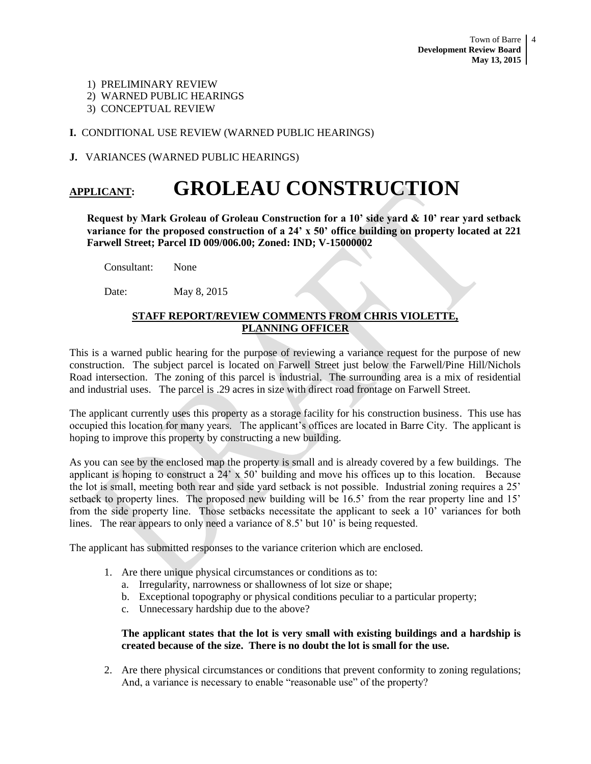- 1) PRELIMINARY REVIEW
- 2) WARNED PUBLIC HEARINGS
- 3) CONCEPTUAL REVIEW

**I.** CONDITIONAL USE REVIEW (WARNED PUBLIC HEARINGS)

**J.** VARIANCES (WARNED PUBLIC HEARINGS)

# **APPLICANT: GROLEAU CONSTRUCTION**

**Request by Mark Groleau of Groleau Construction for a 10' side yard & 10' rear yard setback variance for the proposed construction of a 24' x 50' office building on property located at 221 Farwell Street; Parcel ID 009/006.00; Zoned: IND; V-15000002**

Consultant: None

Date: May 8, 2015

# **STAFF REPORT/REVIEW COMMENTS FROM CHRIS VIOLETTE, PLANNING OFFICER**

This is a warned public hearing for the purpose of reviewing a variance request for the purpose of new construction. The subject parcel is located on Farwell Street just below the Farwell/Pine Hill/Nichols Road intersection. The zoning of this parcel is industrial. The surrounding area is a mix of residential and industrial uses. The parcel is .29 acres in size with direct road frontage on Farwell Street.

The applicant currently uses this property as a storage facility for his construction business. This use has occupied this location for many years. The applicant's offices are located in Barre City. The applicant is hoping to improve this property by constructing a new building.

As you can see by the enclosed map the property is small and is already covered by a few buildings. The applicant is hoping to construct a 24' x 50' building and move his offices up to this location. Because the lot is small, meeting both rear and side yard setback is not possible. Industrial zoning requires a 25' setback to property lines. The proposed new building will be 16.5' from the rear property line and 15' from the side property line. Those setbacks necessitate the applicant to seek a 10' variances for both lines. The rear appears to only need a variance of 8.5' but 10' is being requested.

The applicant has submitted responses to the variance criterion which are enclosed.

- 1. Are there unique physical circumstances or conditions as to:
	- a. Irregularity, narrowness or shallowness of lot size or shape;
	- b. Exceptional topography or physical conditions peculiar to a particular property;
	- c. Unnecessary hardship due to the above?

# **The applicant states that the lot is very small with existing buildings and a hardship is created because of the size. There is no doubt the lot is small for the use.**

2. Are there physical circumstances or conditions that prevent conformity to zoning regulations; And, a variance is necessary to enable "reasonable use" of the property?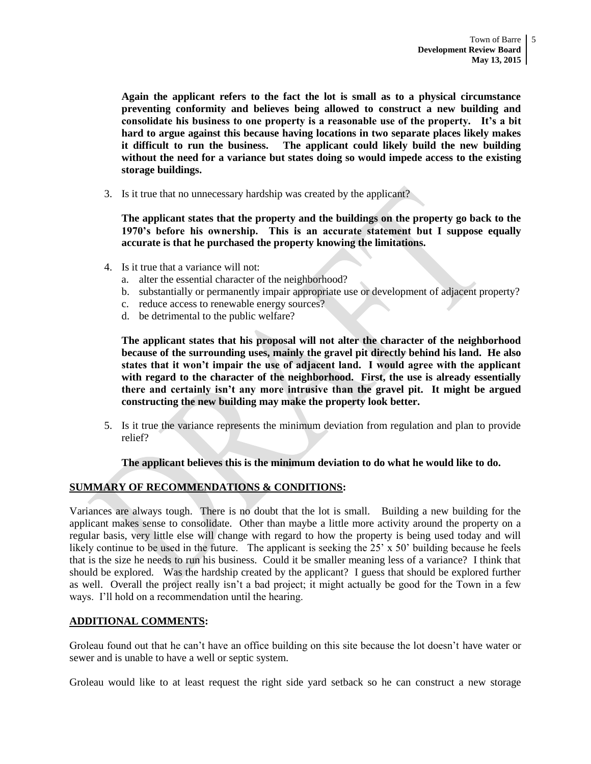**Again the applicant refers to the fact the lot is small as to a physical circumstance preventing conformity and believes being allowed to construct a new building and consolidate his business to one property is a reasonable use of the property. It's a bit hard to argue against this because having locations in two separate places likely makes it difficult to run the business. The applicant could likely build the new building without the need for a variance but states doing so would impede access to the existing storage buildings.** 

3. Is it true that no unnecessary hardship was created by the applicant?

**The applicant states that the property and the buildings on the property go back to the 1970's before his ownership. This is an accurate statement but I suppose equally accurate is that he purchased the property knowing the limitations.** 

- 4. Is it true that a variance will not:
	- a. alter the essential character of the neighborhood?
	- b. substantially or permanently impair appropriate use or development of adjacent property?
	- c. reduce access to renewable energy sources?
	- d. be detrimental to the public welfare?

**The applicant states that his proposal will not alter the character of the neighborhood because of the surrounding uses, mainly the gravel pit directly behind his land. He also states that it won't impair the use of adjacent land. I would agree with the applicant with regard to the character of the neighborhood. First, the use is already essentially there and certainly isn't any more intrusive than the gravel pit. It might be argued constructing the new building may make the property look better.** 

5. Is it true the variance represents the minimum deviation from regulation and plan to provide relief?

# **The applicant believes this is the minimum deviation to do what he would like to do.**

# **SUMMARY OF RECOMMENDATIONS & CONDITIONS:**

Variances are always tough. There is no doubt that the lot is small. Building a new building for the applicant makes sense to consolidate. Other than maybe a little more activity around the property on a regular basis, very little else will change with regard to how the property is being used today and will likely continue to be used in the future. The applicant is seeking the  $25' \times 50'$  building because he feels that is the size he needs to run his business. Could it be smaller meaning less of a variance? I think that should be explored. Was the hardship created by the applicant? I guess that should be explored further as well. Overall the project really isn't a bad project; it might actually be good for the Town in a few ways. I'll hold on a recommendation until the hearing.

# **ADDITIONAL COMMENTS:**

Groleau found out that he can't have an office building on this site because the lot doesn't have water or sewer and is unable to have a well or septic system.

Groleau would like to at least request the right side yard setback so he can construct a new storage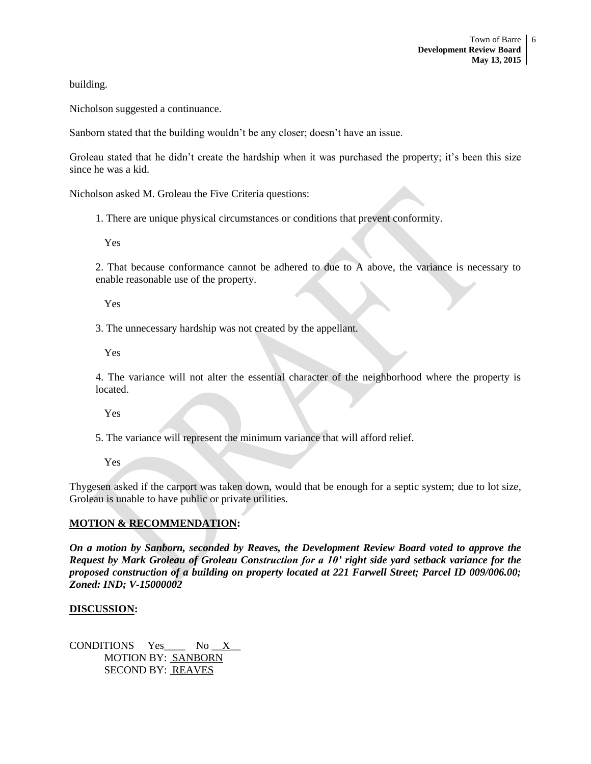building.

Nicholson suggested a continuance.

Sanborn stated that the building wouldn't be any closer; doesn't have an issue.

Groleau stated that he didn't create the hardship when it was purchased the property; it's been this size since he was a kid.

Nicholson asked M. Groleau the Five Criteria questions:

1. There are unique physical circumstances or conditions that prevent conformity.

Yes

2. That because conformance cannot be adhered to due to A above, the variance is necessary to enable reasonable use of the property.

Yes

3. The unnecessary hardship was not created by the appellant.

Yes

4. The variance will not alter the essential character of the neighborhood where the property is located.

Yes

5. The variance will represent the minimum variance that will afford relief.

Yes

Thygesen asked if the carport was taken down, would that be enough for a septic system; due to lot size, Groleau is unable to have public or private utilities.

# **MOTION & RECOMMENDATION:**

*On a motion by Sanborn, seconded by Reaves, the Development Review Board voted to approve the Request by Mark Groleau of Groleau Construction for a 10' right side yard setback variance for the proposed construction of a building on property located at 221 Farwell Street; Parcel ID 009/006.00; Zoned: IND; V-15000002*

# **DISCUSSION:**

CONDITIONS Yes\_\_\_\_ No \_\_X\_\_ MOTION BY: SANBORN SECOND BY: REAVES